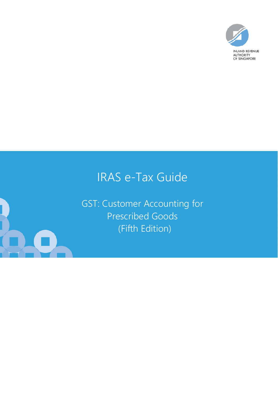

# IRAS e-Tax Guide

GST: Customer Accounting for Prescribed Goods (Fifth Edition)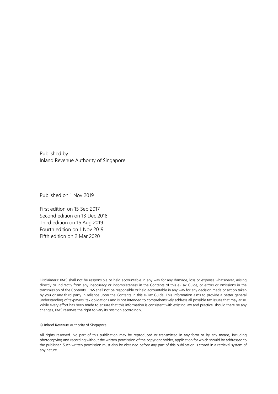Published by Inland Revenue Authority of Singapore

Published on 1 Nov 2019

First edition on 15 Sep 2017 Second edition on 13 Dec 2018 Third edition on 16 Aug 2019 Fourth edition on 1 Nov 2019 Fifth edition on 2 Mar 2020

Disclaimers: IRAS shall not be responsible or held accountable in any way for any damage, loss or expense whatsoever, arising directly or indirectly from any inaccuracy or incompleteness in the Contents of this e-Tax Guide, or errors or omissions in the transmission of the Contents. IRAS shall not be responsible or held accountable in any way for any decision made or action taken by you or any third party in reliance upon the Contents in this e-Tax Guide. This information aims to provide a better general understanding of taxpayers' tax obligations and is not intended to comprehensively address all possible tax issues that may arise. While every effort has been made to ensure that this information is consistent with existing law and practice, should there be any changes, IRAS reserves the right to vary its position accordingly.

© Inland Revenue Authority of Singapore

All rights reserved. No part of this publication may be reproduced or transmitted in any form or by any means, including photocopying and recording without the written permission of the copyright holder, application for which should be addressed to the publisher. Such written permission must also be obtained before any part of this publication is stored in a retrieval system of any nature.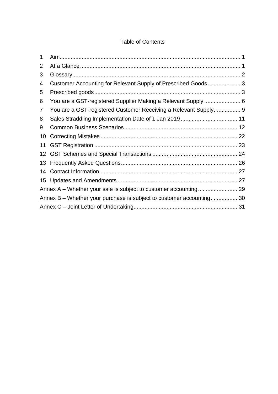### Table of Contents

| 1              |                                                                      |
|----------------|----------------------------------------------------------------------|
| $\overline{2}$ |                                                                      |
| 3              |                                                                      |
| 4              | Customer Accounting for Relevant Supply of Prescribed Goods 3        |
| 5              |                                                                      |
| 6              | You are a GST-registered Supplier Making a Relevant Supply  6        |
| 7              | You are a GST-registered Customer Receiving a Relevant Supply 9      |
| 8              |                                                                      |
| 9              |                                                                      |
| 10             |                                                                      |
| 11             |                                                                      |
|                |                                                                      |
|                |                                                                      |
| 14             |                                                                      |
|                |                                                                      |
|                |                                                                      |
|                | Annex B – Whether your purchase is subject to customer accounting 30 |
|                |                                                                      |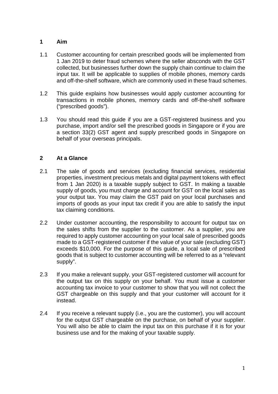### <span id="page-3-0"></span>**1 Aim**

- 1.1 Customer accounting for certain prescribed goods will be implemented from 1 Jan 2019 to deter fraud schemes where the seller absconds with the GST collected, but businesses further down the supply chain continue to claim the input tax. It will be applicable to supplies of mobile phones, memory cards and off-the-shelf software, which are commonly used in these fraud schemes.
- 1.2 This guide explains how businesses would apply customer accounting for transactions in mobile phones, memory cards and off-the-shelf software ("prescribed goods").
- 1.3 You should read this guide if you are a GST-registered business and you purchase, import and/or sell the prescribed goods in Singapore or if you are a section 33(2) GST agent and supply prescribed goods in Singapore on behalf of your overseas principals.

### <span id="page-3-1"></span>**2 At a Glance**

- 2.1 The sale of goods and services (excluding financial services, residential properties, investment precious metals and digital payment tokens with effect from 1 Jan 2020) is a taxable supply subject to GST. In making a taxable supply of goods, you must charge and account for GST on the local sales as your output tax. You may claim the GST paid on your local purchases and imports of goods as your input tax credit if you are able to satisfy the input tax claiming conditions.
- 2.2 Under customer accounting, the responsibility to account for output tax on the sales shifts from the supplier to the customer. As a supplier, you are required to apply customer accounting on your local sale of prescribed goods made to a GST-registered customer if the value of your sale (excluding GST) exceeds \$10,000. For the purpose of this guide, a local sale of prescribed goods that is subject to customer accounting will be referred to as a "relevant supply".
- 2.3 If you make a relevant supply, your GST-registered customer will account for the output tax on this supply on your behalf. You must issue a customer accounting tax invoice to your customer to show that you will not collect the GST chargeable on this supply and that your customer will account for it instead.
- 2.4 If you receive a relevant supply (i.e., you are the customer), you will account for the output GST chargeable on the purchase, on behalf of your supplier. You will also be able to claim the input tax on this purchase if it is for your business use and for the making of your taxable supply.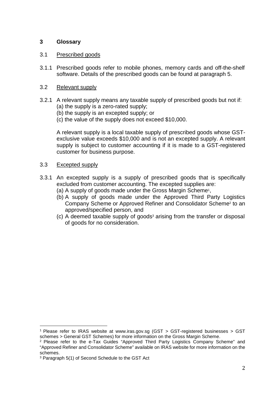### <span id="page-4-0"></span>**3 Glossary**

### 3.1 Prescribed goods

3.1.1 Prescribed goods refer to mobile phones, memory cards and off-the-shelf software. Details of the prescribed goods can be found at paragraph 5.

### 3.2 Relevant supply

- 3.2.1 A relevant supply means any taxable supply of prescribed goods but not if: (a) the supply is a zero-rated supply;
	- (b) the supply is an excepted supply; or
	- (c) the value of the supply does not exceed \$10,000.

A relevant supply is a local taxable supply of prescribed goods whose GSTexclusive value exceeds \$10,000 and is not an excepted supply. A relevant supply is subject to customer accounting if it is made to a GST-registered customer for business purpose.

#### 3.3 Excepted supply

 $\overline{a}$ 

- 3.3.1 An excepted supply is a supply of prescribed goods that is specifically excluded from customer accounting. The excepted supplies are:
	- (a) A supply of goods made under the Gross Margin Scheme<sup>1</sup> ,
	- (b) A supply of goods made under the Approved Third Party Logistics Company Scheme or Approved Refiner and Consolidator Scheme<sup>2</sup> to an approved/specified person, and
	- (c) A deemed taxable supply of goods<sup>3</sup> arising from the transfer or disposal of goods for no consideration.

<sup>1</sup> Please refer to IRAS website at www.iras.gov.sg (GST > GST-registered businesses > GST schemes > General GST Schemes) for more information on the Gross Margin Scheme.

<sup>&</sup>lt;sup>2</sup> Please refer to the e-Tax Guides "Approved Third Party Logistics Company Scheme" and "Approved Refiner and Consolidator Scheme" available on IRAS website for more information on the schemes.

<sup>3</sup> Paragraph 5(1) of Second Schedule to the GST Act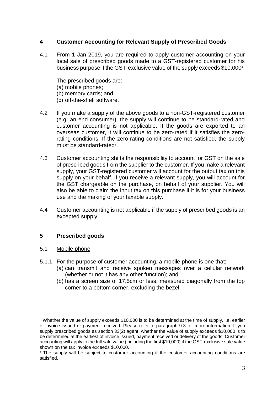### <span id="page-5-0"></span>**4 Customer Accounting for Relevant Supply of Prescribed Goods**

4.1 From 1 Jan 2019, you are required to apply customer accounting on your local sale of prescribed goods made to a GST-registered customer for his business purpose if the GST-exclusive value of the supply exceeds \$10,000<sup>4</sup> .

The prescribed goods are: (a) mobile phones; (b) memory cards; and (c) off-the-shelf software.

- 4.2 If you make a supply of the above goods to a non-GST-registered customer (e.g. an end consumer), the supply will continue to be standard-rated and customer accounting is not applicable. If the goods are exported to an overseas customer, it will continue to be zero-rated if it satisfies the zerorating conditions. If the zero-rating conditions are not satisfied, the supply must be standard-rated<sup>5</sup>.
- 4.3 Customer accounting shifts the responsibility to account for GST on the sale of prescribed goods from the supplier to the customer. If you make a relevant supply, your GST-registered customer will account for the output tax on this supply on your behalf. If you receive a relevant supply, you will account for the GST chargeable on the purchase, on behalf of your supplier. You will also be able to claim the input tax on this purchase if it is for your business use and the making of your taxable supply.
- 4.4 Customer accounting is not applicable if the supply of prescribed goods is an excepted supply.

### <span id="page-5-1"></span>**5 Prescribed goods**

### 5.1 Mobile phone

- 5.1.1 For the purpose of customer accounting, a mobile phone is one that:
	- (a) can transmit and receive spoken messages over a cellular network (whether or not it has any other function); and
	- (b) has a screen size of 17.5cm or less, measured diagonally from the top corner to a bottom corner, excluding the bezel.

 $\overline{a}$ 4 Whether the value of supply exceeds \$10,000 is to be determined at the time of supply, i.e. earlier of invoice issued or payment received. Please refer to paragraph 9.3 for more information. If you supply prescribed goods as section 33(2) agent, whether the value of supply exceeds \$10,000 is to be determined at the earliest of invoice issued, payment received or delivery of the goods. Customer accounting will apply to the full sale value (including the first \$10,000) if the GST-exclusive sale value shown on the tax invoice exceeds \$10,000.

<sup>&</sup>lt;sup>5</sup> The supply will be subject to customer accounting if the customer accounting conditions are satisfied.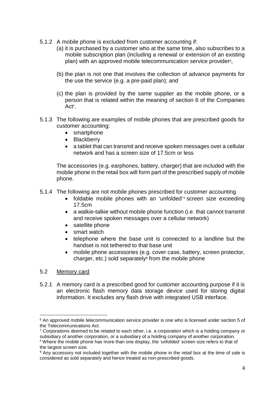- 5.1.2 A mobile phone is excluded from customer accounting if:
	- (a) it is purchased by a customer who at the same time, also subscribes to a mobile subscription plan (including a renewal or extension of an existing plan) with an approved mobile telecommunication service provider<sup>6</sup>,
	- (b) the plan is not one that involves the collection of advance payments for the use the service (e.g. a pre-paid plan); and
	- (c) the plan is provided by the same supplier as the mobile phone, or a person that is related within the meaning of section 6 of the Companies Act<sup>7</sup>.
- 5.1.3 The following are examples of mobile phones that are prescribed goods for customer accounting:
	- smartphone
	- Blackberry
	- a tablet that can transmit and receive spoken messages over a cellular network and has a screen size of 17.5cm or less

The accessories (e.g. earphones, battery, charger) that are included with the mobile phone in the retail box will form part of the prescribed supply of mobile phone.

- 5.1.4 The following are not mobile phones prescribed for customer accounting
	- foldable mobile phones with an 'unfolded'  $\frac{1}{s}$  screen size exceeding 17.5cm
	- a walkie-talkie without mobile phone function (i.e. that cannot transmit and receive spoken messages over a cellular network)
	- satellite phone
	- smart watch
	- telephone where the base unit is connected to a landline but the handset is not tethered to that base unit
	- mobile phone accessories (e.g. cover case, battery, screen protector, charger, etc.) sold separately $9$  from the mobile phone

### 5.2 Memory card

l

5.2.1 A memory card is a prescribed good for customer accounting purpose if it is an electronic flash memory data storage device used for storing digital information. It excludes any flash drive with integrated USB interface.

<sup>&</sup>lt;sup>6</sup> An approved mobile telecommunication service provider is one who is licensed under section 5 of the Telecommunications Act.

<sup>&</sup>lt;sup>7</sup> Corporations deemed to be related to each other, i.e. a corporation which is a holding company or subsidiary of another corporation, or a subsidiary of a holding company of another corporation.

<sup>&</sup>lt;sup>8</sup> Where the mobile phone has more than one display, the 'unfolded' screen size refers to that of the largest screen size.

<sup>&</sup>lt;sup>9</sup> Any accessory not included together with the mobile phone in the retail box at the time of sale is considered as sold separately and hence treated as non-prescribed goods.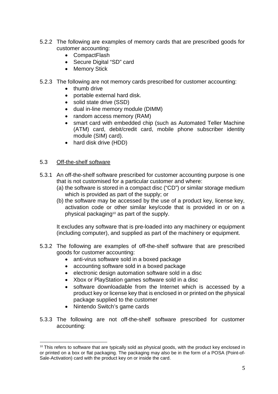- 5.2.2 The following are examples of memory cards that are prescribed goods for customer accounting:
	- CompactFlash
	- Secure Digital "SD" card
	- Memory Stick
- 5.2.3 The following are not memory cards prescribed for customer accounting:
	- thumb drive
	- portable external hard disk.
	- solid state drive (SSD)
	- dual in-line memory module (DIMM)
	- random access memory (RAM)
	- smart card with embedded chip (such as Automated Teller Machine (ATM) card, debit/credit card, mobile phone subscriber identity module (SIM) card).
	- hard disk drive (HDD)

### 5.3 Off-the-shelf software

 $\overline{a}$ 

- 5.3.1 An off-the-shelf software prescribed for customer accounting purpose is one that is not customised for a particular customer and where:
	- (a) the software is stored in a compact disc ("CD") or similar storage medium which is provided as part of the supply; or
	- (b) the software may be accessed by the use of a product key, license key, activation code or other similar key/code that is provided in or on a physical packaging10 as part of the supply.

It excludes any software that is pre-loaded into any machinery or equipment (including computer), and supplied as part of the machinery or equipment.

- 5.3.2 The following are examples of off-the-shelf software that are prescribed goods for customer accounting:
	- anti-virus software sold in a boxed package
	- accounting software sold in a boxed package
	- electronic design automation software sold in a disc
	- Xbox or PlayStation games software sold in a disc
	- software downloadable from the Internet which is accessed by a product key or license key that is enclosed in or printed on the physical package supplied to the customer
	- Nintendo Switch's game cards
- 5.3.3 The following are not off-the-shelf software prescribed for customer accounting:

 $10$  This refers to software that are typically sold as physical goods, with the product key enclosed in or printed on a box or flat packaging. The packaging may also be in the form of a POSA (Point-of-Sale-Activation) card with the product key on or inside the card.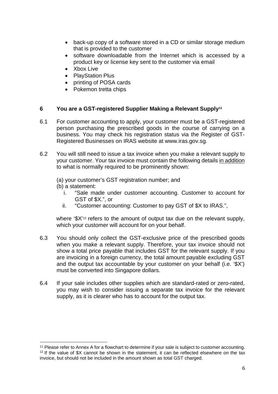- back-up copy of a software stored in a CD or similar storage medium that is provided to the customer
- software downloadable from the Internet which is accessed by a product key or license key sent to the customer via email
- Xbox Live
- PlayStation Plus
- printing of POSA cards
- Pokemon tretta chips

### <span id="page-8-0"></span>**6 You are a GST-registered Supplier Making a Relevant Supply<sup>11</sup>**

- 6.1 For customer accounting to apply, your customer must be a GST-registered person purchasing the prescribed goods in the course of carrying on a business. You may check his registration status via the Register of GST-Registered Businesses on IRAS website at www.iras.gov.sg.
- 6.2 You will still need to issue a tax invoice when you make a relevant supply to your customer. Your tax invoice must contain the following details in addition to what is normally required to be prominently shown:

(a) your customer's GST registration number; and

(b) a statement:

 $\overline{a}$ 

- i. "Sale made under customer accounting. Customer to account for GST of \$X.", or
- ii. "Customer accounting: Customer to pay GST of \$X to IRAS.",

where '\$X'<sup>12</sup> refers to the amount of output tax due on the relevant supply, which your customer will account for on your behalf.

- 6.3 You should only collect the GST-exclusive price of the prescribed goods when you make a relevant supply. Therefore, your tax invoice should not show a total price payable that includes GST for the relevant supply. If you are invoicing in a foreign currency, the total amount payable excluding GST and the output tax accountable by your customer on your behalf (i.e. '\$X') must be converted into Singapore dollars.
- 6.4 If your sale includes other supplies which are standard-rated or zero-rated, you may wish to consider issuing a separate tax invoice for the relevant supply, as it is clearer who has to account for the output tax.

<sup>&</sup>lt;sup>11</sup> Please refer to Annex A for a flowchart to determine if your sale is subject to customer accounting. <sup>12</sup> If the value of \$X cannot be shown in the statement, it can be reflected elsewhere on the tax invoice, but should not be included in the amount shown as total GST charged.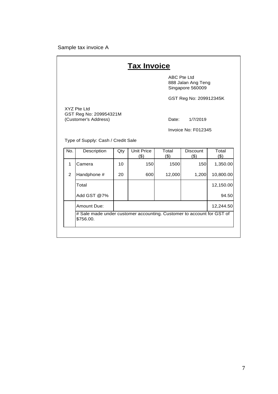#### Sample tax invoice A

## **Tax Invoice**

 ABC Pte Ltd 888 Jalan Ang Teng Singapore 560009

GST Reg No: 209912345K

XYZ Pte Ltd GST Reg No: 209954321M (Customer's Address) Date: 1/7/2019

Invoice No: F012345

Type of Supply: Cash / Credit Sale

| No. | Description                                                                        | Qty | Unit Price<br>(\$) | Total<br>(\$) | <b>Discount</b><br>$\left( \mathbb{S}\right)$ | Total<br>(\$) |
|-----|------------------------------------------------------------------------------------|-----|--------------------|---------------|-----------------------------------------------|---------------|
| 1   | Camera                                                                             | 10  | 150                | 1500          | 150                                           | 1,350.00      |
| 2   | Handphone #                                                                        | 20  | 600                | 12,000        | 1,200                                         | 10,800.00     |
|     | Total                                                                              |     |                    |               |                                               | 12,150.00     |
|     | Add GST @7%                                                                        |     |                    |               |                                               | 94.50         |
|     | Amount Due:                                                                        |     |                    |               |                                               | 12,244.50     |
|     | # Sale made under customer accounting. Customer to account for GST of<br>\$756.00. |     |                    |               |                                               |               |
|     |                                                                                    |     |                    |               |                                               |               |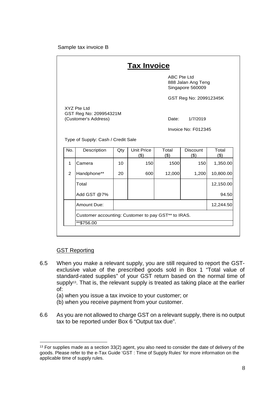#### Sample tax invoice B

| <b>Tax Invoice</b>                 |                                                               |     |                          |                    |                                        |                                                          |
|------------------------------------|---------------------------------------------------------------|-----|--------------------------|--------------------|----------------------------------------|----------------------------------------------------------|
|                                    |                                                               |     |                          | <b>ABC Pte Ltd</b> | 888 Jalan Ang Teng<br>Singapore 560009 |                                                          |
|                                    |                                                               |     |                          |                    | GST Reg No: 209912345K                 |                                                          |
|                                    | XYZ Pte Ltd<br>GST Reg No: 209954321M<br>(Customer's Address) |     |                          | Date:              | 1/7/2019                               |                                                          |
|                                    | Invoice No: F012345                                           |     |                          |                    |                                        |                                                          |
| Type of Supply: Cash / Credit Sale |                                                               |     |                          |                    |                                        |                                                          |
|                                    |                                                               |     |                          |                    |                                        |                                                          |
| No.                                | Description                                                   | Qty | <b>Unit Price</b><br>(3) | Total<br>$($ \$)   | <b>Discount</b><br>(3)                 | Total<br>(3)                                             |
| 1                                  | Camera                                                        | 10  | 150                      | 1500               | 150                                    |                                                          |
| 2                                  | Handphone**                                                   | 20  | 600                      | 12,000             | 1,200                                  |                                                          |
|                                    | Total                                                         |     |                          |                    |                                        |                                                          |
|                                    | Add GST @7%                                                   |     |                          |                    |                                        |                                                          |
|                                    | Amount Due:                                                   |     |                          |                    |                                        | 1,350.00<br>10,800.00<br>12,150.00<br>94.50<br>12,244.50 |
|                                    | Customer accounting: Customer to pay GST** to IRAS.           |     |                          |                    |                                        |                                                          |

#### GST Reporting

 $\overline{a}$ 

- 6.5 When you make a relevant supply, you are still required to report the GSTexclusive value of the prescribed goods sold in Box 1 "Total value of standard-rated supplies" of your GST return based on the normal time of supply<sup>13</sup>. That is, the relevant supply is treated as taking place at the earlier of:
	- (a) when you issue a tax invoice to your customer; or
	- (b) when you receive payment from your customer.
- 6.6 As you are not allowed to charge GST on a relevant supply, there is no output tax to be reported under Box 6 "Output tax due".

 $13$  For supplies made as a section 33(2) agent, you also need to consider the date of delivery of the goods. Please refer to the e-Tax Guide 'GST : Time of Supply Rules' for more information on the applicable time of supply rules.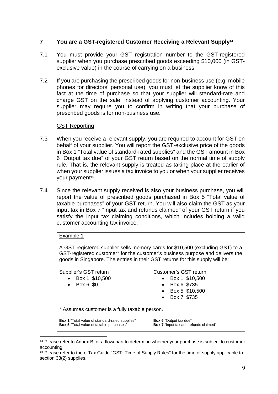### <span id="page-11-0"></span>**7 You are a GST-registered Customer Receiving a Relevant Supply<sup>14</sup>**

- 7.1 You must provide your GST registration number to the GST-registered supplier when you purchase prescribed goods exceeding \$10,000 (in GSTexclusive value) in the course of carrying on a business.
- 7.2 If you are purchasing the prescribed goods for non-business use (e.g. mobile phones for directors' personal use), you must let the supplier know of this fact at the time of purchase so that your supplier will standard-rate and charge GST on the sale, instead of applying customer accounting. Your supplier may require you to confirm in writing that your purchase of prescribed goods is for non-business use.

### GST Reporting

- 7.3 When you receive a relevant supply, you are required to account for GST on behalf of your supplier. You will report the GST-exclusive price of the goods in Box 1 "Total value of standard-rated supplies" and the GST amount in Box 6 "Output tax due" of your GST return based on the normal time of supply rule. That is, the relevant supply is treated as taking place at the earlier of when your supplier issues a tax invoice to you or when your supplier receives your payment<sup>15</sup>.
- 7.4 Since the relevant supply received is also your business purchase, you will report the value of prescribed goods purchased in Box 5 "Total value of taxable purchases" of your GST return. You will also claim the GST as your input tax in Box 7 "Input tax and refunds claimed" of your GST return if you satisfy the input tax claiming conditions, which includes holding a valid customer accounting tax invoice.

#### Example 1

A GST-registered supplier sells memory cards for \$10,500 (excluding GST) to a GST-registered customer\* for the customer's business purpose and delivers the goods in Singapore. The entries in their GST returns for this supply will be:

#### Supplier's GST return

- Box 1: \$10,500
- Box 6: \$0
- Customer's GST return
	- Box 1: \$10,500
		- Box 6: \$735
	- Box 5: \$10,500
	- Box 7: \$735

\* Assumes customer is a fully taxable person.

**Box 1** "Total value of standard-rated supplies" **Box 5** "Total value of taxable purchases"

**Box 6** "Output tax due" **Box 7** "Input tax and refunds claimed"

l <sup>14</sup> Please refer to Annex B for a flowchart to determine whether your purchase is subject to customer accounting.

<sup>15</sup> Please refer to the e-Tax Guide "GST: Time of Supply Rules" for the time of supply applicable to section 33(2) supplies.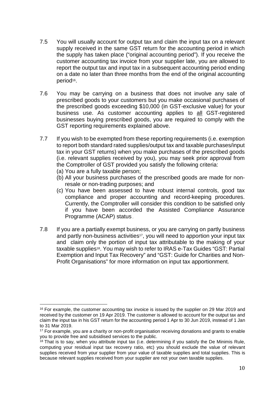- 7.5 You will usually account for output tax and claim the input tax on a relevant supply received in the same GST return for the accounting period in which the supply has taken place ("original accounting period"). If you receive the customer accounting tax invoice from your supplier late, you are allowed to report the output tax and input tax in a subsequent accounting period ending on a date no later than three months from the end of the original accounting period<sup>16</sup>.
- 7.6 You may be carrying on a business that does not involve any sale of prescribed goods to your customers but you make occasional purchases of the prescribed goods exceeding \$10,000 (in GST-exclusive value) for your business use. As customer accounting applies to all GST-registered businesses buying prescribed goods, you are required to comply with the GST reporting requirements explained above.
- 7.7 If you wish to be exempted from these reporting requirements (i.e. exemption to report both standard rated supplies/output tax and taxable purchases/input tax in your GST returns) when you make purchases of the prescribed goods (i.e. relevant supplies received by you), you may seek prior approval from the Comptroller of GST provided you satisfy the following criteria:
	- (a) You are a fully taxable person;

l

- (b) All your business purchases of the prescribed goods are made for nonresale or non-trading purposes; and
- (c) You have been assessed to have robust internal controls, good tax compliance and proper accounting and record-keeping procedures. Currently, the Comptroller will consider this condition to be satisfied only if you have been accorded the Assisted Compliance Assurance Programme (ACAP) status .
- 7.8 If you are a partially exempt business, or you are carrying on partly business and partly non-business activities<sup>17</sup>, you will need to apportion your input tax and claim only the portion of input tax attributable to the making of your taxable supplies18. You may wish to refer to IRAS e-Tax Guides "GST: Partial Exemption and Input Tax Recovery" and "GST: Guide for Charities and Non-Profit Organisations" for more information on input tax apportionment.

<sup>&</sup>lt;sup>16</sup> For example, the customer accounting tax invoice is issued by the supplier on 29 Mar 2019 and received by the customer on 19 Apr 2019. The customer is allowed to account for the output tax and claim the input tax in his GST return for the accounting period 1 Apr to 30 Jun 2019, instead of 1 Jan to 31 Mar 2019.

<sup>&</sup>lt;sup>17</sup> For example, you are a charity or non-profit organisation receiving donations and grants to enable you to provide free and subsidised services to the public.

 $18$  That is to say, when you attribute input tax (i.e. determining if you satisfy the De Minimis Rule, computing your residual input tax recovery ratio, etc) you should exclude the value of relevant supplies received from your supplier from your value of taxable supplies and total supplies. This is because relevant supplies received from your supplier are not your own taxable supplies.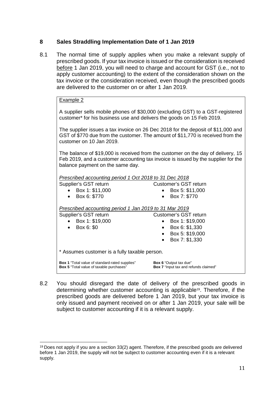### <span id="page-13-0"></span>**8 Sales Straddling Implementation Date of 1 Jan 2019**

8.1 The normal time of supply applies when you make a relevant supply of prescribed goods. If your tax invoice is issued or the consideration is received before 1 Jan 2019, you will need to charge and account for GST (i.e., not to apply customer accounting) to the extent of the consideration shown on the tax invoice or the consideration received, even though the prescribed goods are delivered to the customer on or after 1 Jan 2019.

#### Example 2

A supplier sells mobile phones of \$30,000 (excluding GST) to a GST-registered customer\* for his business use and delivers the goods on 15 Feb 2019.

The supplier issues a tax invoice on 26 Dec 2018 for the deposit of \$11,000 and GST of \$770 due from the customer. The amount of \$11,770 is received from the customer on 10 Jan 2019.

The balance of \$19,000 is received from the customer on the day of delivery, 15 Feb 2019, and a customer accounting tax invoice is issued by the supplier for the balance payment on the same day.

| Prescribed accounting period 1 Oct 2018 to 31 Dec 2018 |
|--------------------------------------------------------|
|--------------------------------------------------------|

Supplier's GST return

- Customer's GST return Box 5: \$11,000
- Box 1: \$11,000

 $\overline{\phantom{a}}$ 

Box 6: \$770

### Box 7: \$770

*Prescribed accounting period 1 Jan 2019 to 31 Mar 2019*

| Supplier's GST return                                                                                    | Customer's GST return                                                  |  |  |  |  |
|----------------------------------------------------------------------------------------------------------|------------------------------------------------------------------------|--|--|--|--|
| Box 1: \$19,000                                                                                          | Box 1: \$19,000                                                        |  |  |  |  |
| Box 6: \$0                                                                                               | Box 6: \$1,330                                                         |  |  |  |  |
|                                                                                                          | Box 5: \$19,000                                                        |  |  |  |  |
|                                                                                                          | Box 7: \$1,330<br>$\bullet$                                            |  |  |  |  |
| * Assumes customer is a fully taxable person.                                                            |                                                                        |  |  |  |  |
| <b>Box 1</b> "Total value of standard-rated supplies"<br><b>Box 5</b> "Total value of taxable purchases" | <b>Box 6</b> "Output tax due"<br>Box 7 "Input tax and refunds claimed" |  |  |  |  |

8.2 You should disregard the date of delivery of the prescribed goods in determining whether customer accounting is applicable19. Therefore, if the prescribed goods are delivered before 1 Jan 2019, but your tax invoice is only issued and payment received on or after 1 Jan 2019, your sale will be subject to customer accounting if it is a relevant supply.

 $19$  Does not apply if you are a section 33(2) agent. Therefore, if the prescribed goods are delivered before 1 Jan 2019, the supply will not be subject to customer accounting even if it is a relevant supply.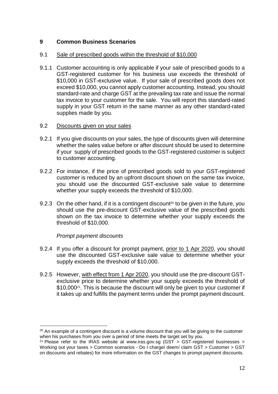### <span id="page-14-0"></span>**9 Common Business Scenarios**

### 9.1 Sale of prescribed goods within the threshold of \$10,000

- 9.1.1 Customer accounting is only applicable if your sale of prescribed goods to a GST-registered customer for his business use exceeds the threshold of \$10,000 in GST-exclusive value. If your sale of prescribed goods does not exceed \$10,000, you cannot apply customer accounting. Instead, you should standard-rate and charge GST at the prevailing tax rate and issue the normal tax invoice to your customer for the sale. You will report this standard-rated supply in your GST return in the same manner as any other standard-rated supplies made by you.
- 9.2 Discounts given on your sales
- 9.2.1 If you give discounts on your sales, the type of discounts given will determine whether the sales value before or after discount should be used to determine if your supply of prescribed goods to the GST-registered customer is subject to customer accounting.
- 9.2.2 For instance, if the price of prescribed goods sold to your GST-registered customer is reduced by an upfront discount shown on the same tax invoice, you should use the discounted GST-exclusive sale value to determine whether your supply exceeds the threshold of \$10,000.
- 9.2.3 On the other hand, if it is a contingent discount<sup>20</sup> to be given in the future, you should use the pre-discount GST-exclusive value of the prescribed goods shown on the tax invoice to determine whether your supply exceeds the threshold of \$10,000.

### *Prompt payment discounts*

 $\overline{\phantom{a}}$ 

- 9.2.4 If you offer a discount for prompt payment, prior to 1 Apr 2020, you should use the discounted GST-exclusive sale value to determine whether your supply exceeds the threshold of \$10,000.
- 9.2.5 However, with effect from 1 Apr 2020, you should use the pre-discount GSTexclusive price to determine whether your supply exceeds the threshold of \$10,000<sup>21</sup>. This is because the discount will only be given to your customer if it takes up and fulfills the payment terms under the prompt payment discount.

 $20$  An example of a contingent discount is a volume discount that you will be giving to the customer when his purchases from you over a period of time meets the target set by you.

<sup>&</sup>lt;sup>21</sup> Please refer to the IRAS website at [www.iras.gov.sg](http://www.iras.gov.sg/) [\(GST](javascript:void(0);) > [GST-registered businesses](https://www.iras.gov.sg/irashome/GST/GST-registered-businesses/) > [Working out your taxes](https://www.iras.gov.sg/irashome/GST/GST-registered-businesses/Working-out-your-taxes/) > [Common scenarios - Do I charge/ deem/ claim GST](https://www.iras.gov.sg/irashome/GST/GST-registered-businesses/Working-out-your-taxes/Common-scenarios---Do-I-charge/-deem/-claim-GST/) > [Customer](https://www.iras.gov.sg/irashome/GST/GST-registered-businesses/Working-out-your-taxes/Common-scenarios/Customer/) > GST on discounts and rebates) for more information on the GST changes to prompt payment discounts.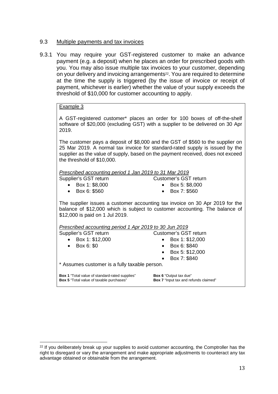### 9.3 Multiple payments and tax invoices

9.3.1 You may require your GST-registered customer to make an advance payment (e.g. a deposit) when he places an order for prescribed goods with you. You may also issue multiple tax invoices to your customer, depending on your delivery and invoicing arrangements<sup>22</sup>. You are required to determine at the time the supply is triggered (by the issue of invoice or receipt of payment, whichever is earlier) whether the value of your supply exceeds the threshold of \$10,000 for customer accounting to apply.

### Example 3

A GST-registered customer\* places an order for 100 boxes of off-the-shelf software of \$20,000 (excluding GST) with a supplier to be delivered on 30 Apr 2019.

The customer pays a deposit of \$8,000 and the GST of \$560 to the supplier on 25 Mar 2019. A normal tax invoice for standard-rated supply is issued by the supplier as the value of supply, based on the payment received, does not exceed the threshold of \$10,000.

#### *Prescribed accounting period 1 Jan 2019 to 31 Mar 2019*

Customer's GST return

Box 1: \$8,000

 Box 5: \$8,000 Box 7: \$560

Box 6: \$560

 $\overline{\phantom{a}}$ 

The supplier issues a customer accounting tax invoice on 30 Apr 2019 for the balance of \$12,000 which is subject to customer accounting. The balance of \$12,000 is paid on 1 Jul 2019.

| Prescribed accounting period 1 Apr 2019 to 30 Jun 2019                                                   |                                                                        |  |  |  |  |
|----------------------------------------------------------------------------------------------------------|------------------------------------------------------------------------|--|--|--|--|
| Supplier's GST return                                                                                    | <b>Customer's GST return</b>                                           |  |  |  |  |
| • Box 1: $$12,000$                                                                                       | Box 1: \$12,000                                                        |  |  |  |  |
| Box 6: \$0<br>$\bullet$                                                                                  | Box 6: \$840<br>$\bullet$                                              |  |  |  |  |
|                                                                                                          | Box 5: \$12,000<br>$\bullet$                                           |  |  |  |  |
|                                                                                                          | Box 7: \$840<br>$\bullet$                                              |  |  |  |  |
| * Assumes customer is a fully taxable person.                                                            |                                                                        |  |  |  |  |
| <b>Box 1</b> "Total value of standard-rated supplies"<br><b>Box 5</b> "Total value of taxable purchases" | <b>Box 6 "Output tax due"</b><br>Box 7 "Input tax and refunds claimed" |  |  |  |  |

 $22$  If you deliberately break up your supplies to avoid customer accounting, the Comptroller has the right to disregard or vary the arrangement and make appropriate adjustments to counteract any tax advantage obtained or obtainable from the arrangement.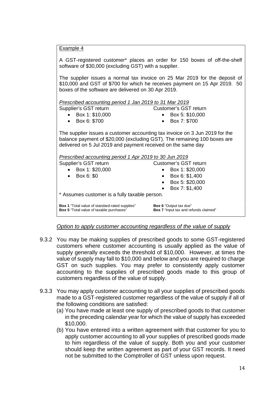| Example 4 |  |
|-----------|--|
|           |  |

| A GST-registered customer* places an order for 150 boxes of off-the-shelf<br>software of \$30,000 (excluding GST) with a supplier.                                                                                      |                              |  |  |  |
|-------------------------------------------------------------------------------------------------------------------------------------------------------------------------------------------------------------------------|------------------------------|--|--|--|
| The supplier issues a normal tax invoice on 25 Mar 2019 for the deposit of<br>\$10,000 and GST of \$700 for which he receives payment on 15 Apr 2019. 50<br>boxes of the software are delivered on 30 Apr 2019.         |                              |  |  |  |
| Prescribed accounting period 1 Jan 2019 to 31 Mar 2019                                                                                                                                                                  |                              |  |  |  |
| Supplier's GST return                                                                                                                                                                                                   | Customer's GST return        |  |  |  |
| Box 1: \$10,000                                                                                                                                                                                                         | Box 5: \$10,000              |  |  |  |
| • Box 6: \$700                                                                                                                                                                                                          | Box 7: \$700                 |  |  |  |
| The supplier issues a customer accounting tax invoice on 3 Jun 2019 for the<br>balance payment of \$20,000 (excluding GST). The remaining 100 boxes are<br>delivered on 5 Jul 2019 and payment received on the same day |                              |  |  |  |
| Prescribed accounting period 1 Apr 2019 to 30 Jun 2019                                                                                                                                                                  |                              |  |  |  |
| Supplier's GST return                                                                                                                                                                                                   | Customer's GST return        |  |  |  |
| Box 1: \$20,000                                                                                                                                                                                                         | Box 1: \$20,000              |  |  |  |
| Box 6: \$0                                                                                                                                                                                                              | Box 6: \$1,400               |  |  |  |
|                                                                                                                                                                                                                         | Box 5: \$20,000<br>$\bullet$ |  |  |  |
| Box 7: \$1,400                                                                                                                                                                                                          |                              |  |  |  |
| * Assumes customer is a fully taxable person.                                                                                                                                                                           |                              |  |  |  |
| Box 6 "Output tax due"<br><b>Box 1</b> "Total value of standard-rated supplies"<br><b>Box 5</b> "Total value of taxable purchases"<br><b>Box 7</b> "Input tax and refunds claimed"                                      |                              |  |  |  |

*Option to apply customer accounting regardless of the value of supply* 

- 9.3.2 You may be making supplies of prescribed goods to some GST-registered customers where customer accounting is usually applied as the value of supply generally exceeds the threshold of \$10,000. However, at times the value of supply may fall to \$10,000 and below and you are required to charge GST on such supplies. You may prefer to consistently apply customer accounting to the supplies of prescribed goods made to this group of customers regardless of the value of supply.
- 9.3.3 You may apply customer accounting to all your supplies of prescribed goods made to a GST-registered customer regardless of the value of supply if all of the following conditions are satisfied:
	- (a) You have made at least one supply of prescribed goods to that customer in the preceding calendar year for which the value of supply has exceeded \$10,000.
	- (b) You have entered into a written agreement with that customer for you to apply customer accounting to all your supplies of prescribed goods made to him regardless of the value of supply. Both you and your customer should keep the written agreement as part of your GST records. It need not be submitted to the Comptroller of GST unless upon request.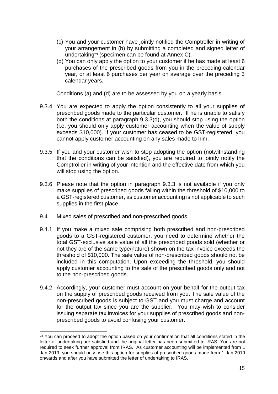- (c) You and your customer have jointly notified the Comptroller in writing of your arrangement in (b) by submitting a completed and signed letter of undertaking23 (specimen can be found at Annex C).
- (d) You can only apply the option to your customer if he has made at least 6 purchases of the prescribed goods from you in the preceding calendar year, or at least 6 purchases per year on average over the preceding 3 calendar years.

Conditions (a) and (d) are to be assessed by you on a yearly basis.

- 9.3.4 You are expected to apply the option consistently to all your supplies of prescribed goods made to the particular customer. If he is unable to satisfy both the conditions at paragraph 9.3.3(d), you should stop using the option (i.e. you should only apply customer accounting when the value of supply exceeds \$10,000). If your customer has ceased to be GST-registered, you cannot apply customer accounting on any sales made to him.
- 9.3.5 If you and your customer wish to stop adopting the option (notwithstanding that the conditions can be satisfied), you are required to jointly notify the Comptroller in writing of your intention and the effective date from which you will stop using the option.
- 9.3.6 Please note that the option in paragraph 9.3.3 is not available if you only make supplies of prescribed goods falling within the threshold of \$10,000 to a GST-registered customer, as customer accounting is not applicable to such supplies in the first place.
- 9.4 Mixed sales of prescribed and non-prescribed goods

 $\overline{\phantom{a}}$ 

- 9.4.1 If you make a mixed sale comprising both prescribed and non-prescribed goods to a GST-registered customer, you need to determine whether the total GST-exclusive sale value of all the prescribed goods sold (whether or not they are of the same type/nature) shown on the tax invoice exceeds the threshold of \$10,000. The sale value of non-prescribed goods should not be included in this computation. Upon exceeding the threshold, you should apply customer accounting to the sale of the prescribed goods only and not to the non-prescribed goods.
- 9.4.2 Accordingly, your customer must account on your behalf for the output tax on the supply of prescribed goods received from you. The sale value of the non-prescribed goods is subject to GST and you must charge and account for the output tax since you are the supplier. You may wish to consider issuing separate tax invoices for your supplies of prescribed goods and nonprescribed goods to avoid confusing your customer.

 $23$  You can proceed to adopt the option based on your confirmation that all conditions stated in the letter of undertaking are satisfied and the original letter has been submitted to IRAS. You are not required to seek further approval from IRAS. As customer accounting will be implemented from 1 Jan 2019, you should only use this option for supplies of prescribed goods made from 1 Jan 2019 onwards and after you have submitted the letter of undertaking to IRAS.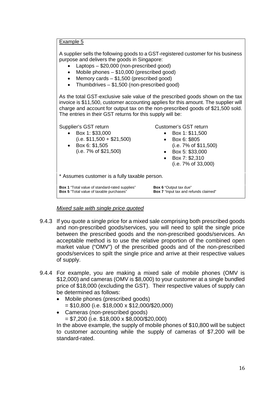#### Example 5

A supplier sells the following goods to a GST-registered customer for his business purpose and delivers the goods in Singapore:

- Laptops \$20,000 (non-prescribed good)
- Mobile phones \$10,000 (prescribed good)
- Memory cards \$1,500 (prescribed good)
- Thumbdrives \$1,500 (non-prescribed good)

As the total GST-exclusive sale value of the prescribed goods shown on the tax invoice is \$11,500, customer accounting applies for this amount. The supplier will charge and account for output tax on the non-prescribed goods of \$21,500 sold. The entries in their GST returns for this supply will be:

Supplier's GST return

- Box 1: \$33,000
- $(i.e. $11,500 + $21,500)$ Box 6: \$1,505

(i.e. 7% of \$21,500)

Customer's GST return

- Box 1: \$11,500
- Box 6: \$805 (i.e. 7% of \$11,500)
- Box 5: \$33,000
- Box 7: \$2,310
	- (i.e. 7% of 33,000)

\* Assumes customer is a fully taxable person.

**Box 1** "Total value of standard-rated supplies" **Box 5** "Total value of taxable purchases"

**Box 6** "Output tax due" **Box 7** "Input tax and refunds claimed"

### *Mixed sale with single price quoted*

- 9.4.3 If you quote a single price for a mixed sale comprising both prescribed goods and non-prescribed goods/services, you will need to split the single price between the prescribed goods and the non-prescribed goods/services. An acceptable method is to use the relative proportion of the combined open market value ("OMV") of the prescribed goods and of the non-prescribed goods/services to spilt the single price and arrive at their respective values of supply.
- 9.4.4 For example, you are making a mixed sale of mobile phones (OMV is \$12,000) and cameras (OMV is \$8,000) to your customer at a single bundled price of \$18,000 (excluding the GST). Their respective values of supply can be determined as follows:
	- Mobile phones (prescribed goods) = \$10,800 (i.e. \$18,000 x \$12,000/\$20,000)
	- Cameras (non-prescribed goods) = \$7,200 (i.e. \$18,000 x \$8,000/\$20,000)

In the above example, the supply of mobile phones of \$10,800 will be subject to customer accounting while the supply of cameras of \$7,200 will be standard-rated.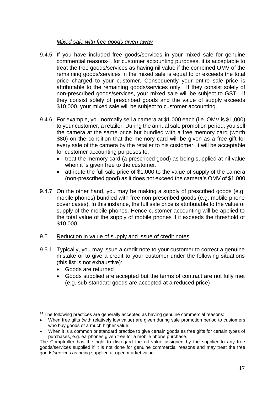### *Mixed sale with free goods given away*

- 9.4.5 If you have included free goods/services in your mixed sale for genuine commercial reasons24, for customer accounting purposes, it is acceptable to treat the free goods/services as having nil value if the combined OMV of the remaining goods/services in the mixed sale is equal to or exceeds the total price charged to your customer. Consequently your entire sale price is attributable to the remaining goods/services only. If they consist solely of non-prescribed goods/services, your mixed sale will be subject to GST. If they consist solely of prescribed goods and the value of supply exceeds \$10,000, your mixed sale will be subject to customer accounting.
- 9.4.6 For example, you normally sell a camera at \$1,000 each (i.e. OMV is \$1,000) to your customer, a retailer. During the annual sale promotion period, you sell the camera at the same price but bundled with a free memory card (worth \$80) on the condition that the memory card will be given as a free gift for every sale of the camera by the retailer to his customer. It will be acceptable for customer accounting purposes to:
	- treat the memory card (a prescribed good) as being supplied at nil value when it is given free to the customer.
	- attribute the full sale price of \$1,000 to the value of supply of the camera (non-prescribed good) as it does not exceed the camera's OMV of \$1,000.
- 9.4.7 On the other hand, you may be making a supply of prescribed goods (e.g. mobile phones) bundled with free non-prescribed goods (e.g. mobile phone cover cases). In this instance, the full sale price is attributable to the value of supply of the mobile phones. Hence customer accounting will be applied to the total value of the supply of mobile phones if it exceeds the threshold of \$10,000.

### 9.5 Reduction in value of supply and issue of credit notes

- 9.5.1 Typically, you may issue a credit note to your customer to correct a genuine mistake or to give a credit to your customer under the following situations (this list is not exhaustive):
	- Goods are returned

 $\overline{\phantom{a}}$ 

 Goods supplied are accepted but the terms of contract are not fully met (e.g. sub-standard goods are accepted at a reduced price)

 $24$  The following practices are generally accepted as having genuine commercial reasons:

When free gifts (with relatively low value) are given during sale promotion period to customers who buy goods of a much higher value;

When it is a common or standard practice to give certain goods as free gifts for certain types of purchases, e.g. earphones given free for a mobile phone purchase.

The Comptroller has the right to disregard the nil value assigned by the supplier to any free goods/services supplied if it is not done for genuine commercial reasons and may treat the free goods/services as being supplied at open market value.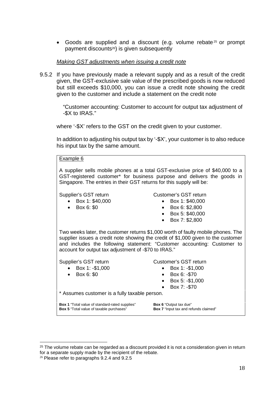Goods are supplied and a discount (e.g. volume rebate<sup>25</sup> or prompt payment discounts26) is given subsequently

#### *Making GST adjustments when issuing a credit note*

9.5.2 If you have previously made a relevant supply and as a result of the credit given, the GST-exclusive sale value of the prescribed goods is now reduced but still exceeds \$10,000, you can issue a credit note showing the credit given to the customer and include a statement on the credit note

> "Customer accounting: Customer to account for output tax adjustment of -\$X to IRAS."

where '-\$X' refers to the GST on the credit given to your customer.

In addition to adjusting his output tax by '-\$X', your customer is to also reduce his input tax by the same amount.

Example 6 A supplier sells mobile phones at a total GST-exclusive price of \$40,000 to a GST-registered customer\* for business purpose and delivers the goods in Singapore. The entries in their GST returns for this supply will be: Supplier's GST return Box 1: \$40,000 Box 6: \$0 Customer's GST return Box 1: \$40,000 Box 6: \$2,800 Box 5: \$40,000 Box 7: \$2,800 Two weeks later, the customer returns \$1,000 worth of faulty mobile phones. The supplier issues a credit note showing the credit of \$1,000 given to the customer and includes the following statement: "Customer accounting: Customer to account for output tax adjustment of -\$70 to IRAS." Supplier's GST return Box 1: -\$1,000 Box 6: \$0 Customer's GST return Box 1: -\$1,000 Box 6: -\$70 Box 5: -\$1,000  $\bullet$  Box 7: -\$70 \* Assumes customer is a fully taxable person. **Box 1** "Total value of standard-rated supplies" **Box 5** "Total value of taxable purchases" **Box 6** "Output tax due" **Box 7** "Input tax and refunds claimed"

 $\overline{\phantom{a}}$ 

 $25$  The volume rebate can be regarded as a discount provided it is not a consideration given in return for a separate supply made by the recipient of the rebate.

<sup>&</sup>lt;sup>26</sup> Please refer to paragraphs 9.2.4 and 9.2.5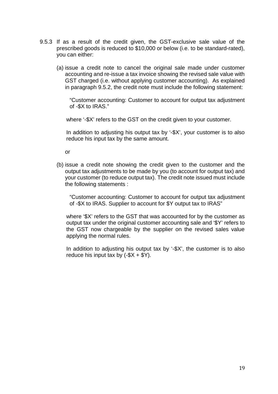- 9.5.3 If as a result of the credit given, the GST-exclusive sale value of the prescribed goods is reduced to \$10,000 or below (i.e. to be standard-rated), you can either:
	- (a) issue a credit note to cancel the original sale made under customer accounting and re-issue a tax invoice showing the revised sale value with GST charged (i.e. without applying customer accounting). As explained in paragraph 9.5.2, the credit note must include the following statement:

"Customer accounting: Customer to account for output tax adjustment of -\$X to IRAS."

where '-\$X' refers to the GST on the credit given to your customer.

In addition to adjusting his output tax by '-\$X', your customer is to also reduce his input tax by the same amount.

or

(b) issue a credit note showing the credit given to the customer and the output tax adjustments to be made by you (to account for output tax) and your customer (to reduce output tax). The credit note issued must include the following statements :

"Customer accounting: Customer to account for output tax adjustment of -\$X to IRAS. Supplier to account for \$Y output tax to IRAS"

 where '\$X' refers to the GST that was accounted for by the customer as output tax under the original customer accounting sale and '\$Y' refers to the GST now chargeable by the supplier on the revised sales value applying the normal rules.

In addition to adjusting his output tax by '-\$X', the customer is to also reduce his input tax by  $(-\$X + \$Y)$ .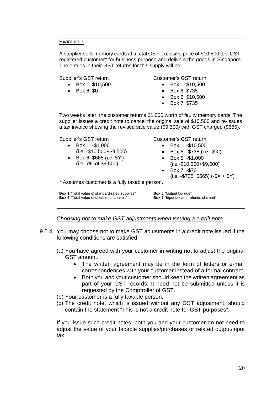Example 7

A supplier sells memory cards at a total GST-exclusive price of \$10,500 to a GSTregistered customer\* for business purpose and delivers the goods in Singapore. The entries in their GST returns for this supply will be: Supplier's GST return Box 1: \$10,500 Box 6: \$0 Customer's GST return  $\bullet$  Box 1: \$10,500 Box 6: \$735 Box 5: \$10,500 Box 7: \$735 Two weeks later, the customer returns \$1,000 worth of faulty memory cards. The supplier issues a credit note to cancel the original sale of \$10,500 and re-issues a tax invoice showing the revised sale value (\$9,500) with GST charged (\$665). Supplier's GST return  $\bullet$  Box 1: -\$1,000 (i.e. -\$10,500+\$9,500) Box 6: \$665 (i.e.'\$Y') (i.e. 7% of \$9,500) Customer's GST return  $\bullet$  Box 1: -\$10,500 Box 6: -\$735 (i.e.'-\$X') Box 5: -\$1,000 (i.e.-\$10,500+\$9,500)  $\bullet$  Box 7: -\$70  $(i.e. -\$735 + \$665)$   $(-\$X + \$Y)$ \* Assumes customer is a fully taxable person. **Box 1** "Total value of standard-rated supplies" **Box 5** "Total value of taxable purchases" **Box 6** "Output tax due" **Box 7** "Input tax and refunds claimed"

*Choosing not to make GST adjustments when issuing a credit note* 

- 9.5.4 You may choose not to make GST adjustments in a credit note issued if the following conditions are satisfied:
	- (a) You have agreed with your customer in writing not to adjust the original GST amount.
		- The written agreement may be in the form of letters or e-mail correspondences with your customer instead of a formal contract.
		- Both you and your customer should keep the written agreement as part of your GST records. It need not be submitted unless it is requested by the Comptroller of GST.
	- (b) Your customer is a fully taxable person.
	- (c) The credit note, which is issued without any GST adjustment, should contain the statement "This is not a credit note for GST purposes".

If you issue such credit notes, both you and your customer do not need to adjust the value of your taxable supplies/purchases or related output/input tax.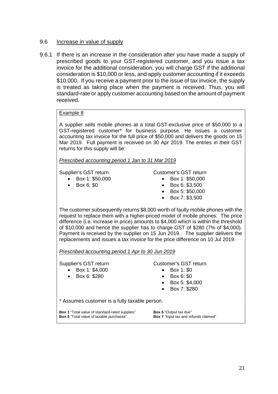#### 9.6 Increase in value of supply

9.6.1 If there is an increase in the consideration after you have made a supply of prescribed goods to your GST-registered customer, and you issue a tax invoice for the additional consideration, you will charge GST if the additional consideration is \$10,000 or less, and apply customer accounting if it exceeds \$10,000. If you receive a payment prior to the issue of tax invoice, the supply is treated as taking place when the payment is received. Thus, you will standard-rate or apply customer accounting based on the amount of payment received.

#### Example 8

A supplier sells mobile phones at a total GST-exclusive price of \$50,000 to a GST-registered customer\* for business purpose. He issues a customer accounting tax invoice for the full price of \$50,000 and delivers the goods on 15 Mar 2019. Full payment is received on 30 Apr 2019. The entries in their GST returns for this supply will be:

*Prescribed accounting period 1 Jan to 31 Mar 2019* 

Supplier's GST return

Customer's GST return Box 1: \$50,000

- Box 1: \$50,000
- $\bullet$  Box 6: \$0
- Box 6: \$3,500
	- Box 5: \$50,000
	- Box 7: \$3,500

The customer subsequently returns \$8,000 worth of faulty mobile phones with the request to replace them with a higher-priced model of mobile phones. The price difference (i.e. increase in price) amounts to \$4,000 which is within the threshold of \$10,000 and hence the supplier has to charge GST of \$280 (7% of \$4,000). Payment is received by the supplier on 15 Jun 2019. The supplier delivers the replacements and issues a tax invoice for the price difference on 10 Jul 2019.

*Prescribed accounting period 1 Apr to 30 Jun 2019* 

#### Supplier's GST return

 Box 1: \$4,000 Box 6: \$280

#### Customer's GST return

- Box 1: \$0
- Box 6: \$0
- Box 5: \$4,000
- Box 7: \$280

\* Assumes customer is a fully taxable person.

**Box 1** "Total value of standard-rated supplies" **Box 5** "Total value of taxable purchases"

**Box 6** "Output tax due" **Box 7** "Input tax and refunds claimed"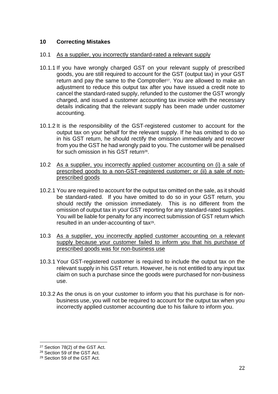### <span id="page-24-0"></span>**10 Correcting Mistakes**

### 10.1 As a supplier, you incorrectly standard-rated a relevant supply

- 10.1.1 If you have wrongly charged GST on your relevant supply of prescribed goods, you are still required to account for the GST (output tax) in your GST return and pay the same to the Comptroller<sup>27</sup>. You are allowed to make an adjustment to reduce this output tax after you have issued a credit note to cancel the standard-rated supply, refunded to the customer the GST wrongly charged, and issued a customer accounting tax invoice with the necessary details indicating that the relevant supply has been made under customer accounting.
- 10.1.2 It is the responsibility of the GST-registered customer to account for the output tax on your behalf for the relevant supply. If he has omitted to do so in his GST return, he should rectify the omission immediately and recover from you the GST he had wrongly paid to you. The customer will be penalised for such omission in his GST return<sup>28</sup>.
- 10.2 As a supplier, you incorrectly applied customer accounting on (i) a sale of prescribed goods to a non-GST-registered customer; or (ii) a sale of nonprescribed goods
- 10.2.1 You are required to account for the output tax omitted on the sale, as it should be standard-rated. If you have omitted to do so in your GST return, you should rectify the omission immediately. This is no different from the omission of output tax in your GST reporting for any standard-rated supplies. You will be liable for penalty for any incorrect submission of GST return which resulted in an under-accounting of tax<sup>29</sup>.
- 10.3 As a supplier, you incorrectly applied customer accounting on a relevant supply because your customer failed to inform you that his purchase of prescribed goods was for non-business use
- 10.3.1 Your GST-registered customer is required to include the output tax on the relevant supply in his GST return. However, he is not entitled to any input tax claim on such a purchase since the goods were purchased for non-business use.
- 10.3.2 As the onus is on your customer to inform you that his purchase is for nonbusiness use, you will not be required to account for the output tax when you incorrectly applied customer accounting due to his failure to inform you.

 $\overline{\phantom{a}}$ 

<sup>27</sup> Section 78(2) of the GST Act.

<sup>&</sup>lt;sup>28</sup> Section 59 of the GST Act.

<sup>29</sup> Section 59 of the GST Act.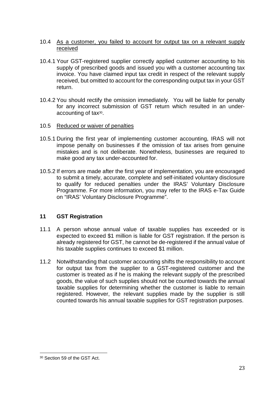- 10.4 As a customer, you failed to account for output tax on a relevant supply received
- 10.4.1 Your GST-registered supplier correctly applied customer accounting to his supply of prescribed goods and issued you with a customer accounting tax invoice. You have claimed input tax credit in respect of the relevant supply received, but omitted to account for the corresponding output tax in your GST return.
- 10.4.2 You should rectify the omission immediately. You will be liable for penalty for any incorrect submission of GST return which resulted in an underaccounting of tax<sup>30</sup>.
- 10.5 Reduced or waiver of penalties
- 10.5.1 During the first year of implementing customer accounting, IRAS will not impose penalty on businesses if the omission of tax arises from genuine mistakes and is not deliberate. Nonetheless, businesses are required to make good any tax under-accounted for.
- 10.5.2 If errors are made after the first year of implementation, you are encouraged to submit a timely, accurate, complete and self-initiated voluntary disclosure to qualify for reduced penalties under the IRAS' Voluntary Disclosure Programme. For more information, you may refer to the IRAS e-Tax Guide on "IRAS' Voluntary Disclosure Programme".

### <span id="page-25-0"></span>**11 GST Registration**

- 11.1 A person whose annual value of taxable supplies has exceeded or is expected to exceed \$1 million is liable for GST registration. If the person is already registered for GST, he cannot be de-registered if the annual value of his taxable supplies continues to exceed \$1 million.
- 11.2 Notwithstanding that customer accounting shifts the responsibility to account for output tax from the supplier to a GST-registered customer and the customer is treated as if he is making the relevant supply of the prescribed goods, the value of such supplies should not be counted towards the annual taxable supplies for determining whether the customer is liable to remain registered. However, the relevant supplies made by the supplier is still counted towards his annual taxable supplies for GST registration purposes.

 $\overline{\phantom{a}}$ 30 Section 59 of the GST Act.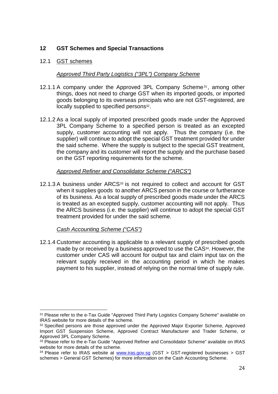### <span id="page-26-0"></span>**12 GST Schemes and Special Transactions**

### 12.1 GST schemes

### *Approved Third Party Logistics ("3PL") Company Scheme*

- 12.1.1 A company under the Approved 3PL Company Scheme<sup>31</sup>, among other things, does not need to charge GST when its imported goods, or imported goods belonging to its overseas principals who are not GST-registered, are locally supplied to specified persons<sup>32</sup>.
- 12.1.2 As a local supply of imported prescribed goods made under the Approved 3PL Company Scheme to a specified person is treated as an excepted supply, customer accounting will not apply. Thus the company (i.e. the supplier) will continue to adopt the special GST treatment provided for under the said scheme. Where the supply is subject to the special GST treatment, the company and its customer will report the supply and the purchase based on the GST reporting requirements for the scheme.

### *Approved Refiner and Consolidator Scheme ("ARCS")*

12.1.3 A business under ARCS<sup>33</sup> is not required to collect and account for GST when it supplies goods to another ARCS person in the course or furtherance of its business. As a local supply of prescribed goods made under the ARCS is treated as an excepted supply, customer accounting will not apply. Thus the ARCS business (i.e. the supplier) will continue to adopt the special GST treatment provided for under the said scheme.

### *Cash Accounting Scheme ("CAS")*

 $\overline{\phantom{a}}$ 

12.1.4 Customer accounting is applicable to a relevant supply of prescribed goods made by or received by a business approved to use the CAS<sup>34</sup>. However, the customer under CAS will account for output tax and claim input tax on the relevant supply received in the accounting period in which he makes payment to his supplier, instead of relying on the normal time of supply rule.

<sup>&</sup>lt;sup>31</sup> Please refer to the e-Tax Guide "Approved Third Party Logistics Company Scheme" available on IRAS website for more details of the scheme.

<sup>&</sup>lt;sup>32</sup> Specified persons are those approved under the Approved Maior Exporter Scheme. Approved Import GST Suspension Scheme, Approved Contract Manufacturer and Trader Scheme, or Approved 3PL Company Scheme.

<sup>&</sup>lt;sup>33</sup> Please refer to the e-Tax Guide "Approved Refiner and Consolidator Scheme" available on IRAS website for more details of the scheme.

<sup>&</sup>lt;sup>34</sup> Please refer to IRAS website at [www.iras.gov.sg](http://www.iras.gov.sg/) (GST > GST-registered businesses > GST schemes > General GST Schemes) for more information on the Cash Accounting Scheme.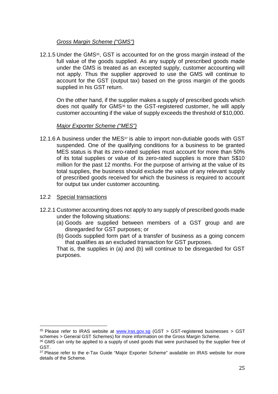### *Gross Margin Scheme ("GMS")*

12.1.5 Under the GMS<sup>35</sup>, GST is accounted for on the gross margin instead of the full value of the goods supplied. As any supply of prescribed goods made under the GMS is treated as an excepted supply, customer accounting will not apply. Thus the supplier approved to use the GMS will continue to account for the GST (output tax) based on the gross margin of the goods supplied in his GST return.

On the other hand, if the supplier makes a supply of prescribed goods which does not qualify for GMS36 to the GST-registered customer, he will apply customer accounting if the value of supply exceeds the threshold of \$10,000.

### *Major Exporter Scheme ("MES")*

12.1.6 A business under the MES $37$  is able to import non-dutiable goods with GST suspended. One of the qualifying conditions for a business to be granted MES status is that its zero-rated supplies must account for more than 50% of its total supplies or value of its zero-rated supplies is more than S\$10 million for the past 12 months. For the purpose of arriving at the value of its total supplies, the business should exclude the value of any relevant supply of prescribed goods received for which the business is required to account for output tax under customer accounting.

#### 12.2 Special transactions

 $\overline{\phantom{a}}$ 

- 12.2.1 Customer accounting does not apply to any supply of prescribed goods made under the following situations:
	- (a) Goods are supplied between members of a GST group and are disregarded for GST purposes; or
	- (b) Goods supplied form part of a transfer of business as a going concern that qualifies as an excluded transaction for GST purposes.

That is, the supplies in (a) and (b) will continue to be disregarded for GST purposes.

<sup>&</sup>lt;sup>35</sup> Please refer to IRAS website at [www.iras.gov.sg](http://www.iras.gov.sg/) (GST > GST-registered businesses > GST schemes > General GST Schemes) for more information on the Gross Margin Scheme.

<sup>&</sup>lt;sup>36</sup> GMS can only be applied to a supply of used goods that were purchased by the supplier free of GST.

<sup>&</sup>lt;sup>37</sup> Please refer to the e-Tax Guide "Major Exporter Scheme" available on IRAS website for more details of the Scheme.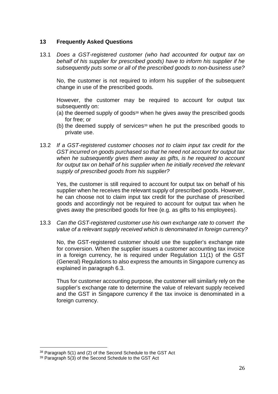### <span id="page-28-0"></span>**13 Frequently Asked Questions**

13.1 *Does a GST-registered customer (who had accounted for output tax on behalf of his supplier for prescribed goods) have to inform his supplier if he subsequently puts some or all of the prescribed goods to non-business use?*

No, the customer is not required to inform his supplier of the subsequent change in use of the prescribed goods.

However, the customer may be required to account for output tax subsequently on:

- (a) the deemed supply of goods<sup>38</sup> when he gives away the prescribed goods for free; or
- (b) the deemed supply of services39 when he put the prescribed goods to private use.
- 13.2 *If a GST-registered customer chooses not to claim input tax credit for the GST incurred on goods purchased so that he need not account for output tax when he subsequently gives them away as gifts, is he required to account for output tax on behalf of his supplier when he initially received the relevant supply of prescribed goods from his supplier?*

Yes, the customer is still required to account for output tax on behalf of his supplier when he receives the relevant supply of prescribed goods. However, he can choose not to claim input tax credit for the purchase of prescribed goods and accordingly not be required to account for output tax when he gives away the prescribed goods for free (e.g. as gifts to his employees).

13.3 *Can the GST-registered customer use his own exchange rate to convert the value of a relevant supply received which is denominated in foreign currency?*

No, the GST-registered customer should use the supplier's exchange rate for conversion. When the supplier issues a customer accounting tax invoice in a foreign currency, he is required under Regulation 11(1) of the GST (General) Regulations to also express the amounts in Singapore currency as explained in paragraph 6.3.

Thus for customer accounting purpose, the customer will similarly rely on the supplier's exchange rate to determine the value of relevant supply received and the GST in Singapore currency if the tax invoice is denominated in a foreign currency.

 $\overline{\phantom{a}}$ 

<sup>38</sup> Paragraph 5(1) and (2) of the Second Schedule to the GST Act

<sup>39</sup> Paragraph 5(3) of the Second Schedule to the GST Act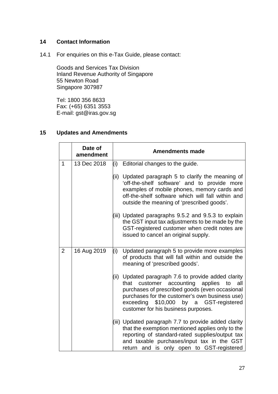### <span id="page-29-0"></span>**14 Contact Information**

14.1 For enquiries on this e-Tax Guide, please contact:

Goods and Services Tax Division Inland Revenue Authority of Singapore 55 Newton Road Singapore 307987

Tel: 1800 356 8633 Fax: (+65) 6351 3553 E-mail: gst@iras.gov.sg

### **15 Updates and Amendments**

|                | Date of<br>amendment |      | <b>Amendments made</b>                                                                                                                                                                                                                                                               |
|----------------|----------------------|------|--------------------------------------------------------------------------------------------------------------------------------------------------------------------------------------------------------------------------------------------------------------------------------------|
| $\mathbf{1}$   | 13 Dec 2018          |      | $(i)$ Editorial changes to the guide.                                                                                                                                                                                                                                                |
|                |                      |      | (ii) Updated paragraph 5 to clarify the meaning of<br>'off-the-shelf software' and to provide more<br>examples of mobile phones, memory cards and<br>off-the-shelf software which will fall within and<br>outside the meaning of 'prescribed goods'.                                 |
|                |                      |      | (iii) Updated paragraphs 9.5.2 and 9.5.3 to explain<br>the GST input tax adjustments to be made by the<br>GST-registered customer when credit notes are<br>issued to cancel an original supply.                                                                                      |
| $\overline{2}$ | 16 Aug 2019          | (i)  | Updated paragraph 5 to provide more examples<br>of products that will fall within and outside the<br>meaning of 'prescribed goods'.                                                                                                                                                  |
|                |                      | (ii) | Updated paragraph 7.6 to provide added clarity<br>that customer accounting applies<br>all<br>to<br>purchases of prescribed goods (even occasional<br>purchases for the customer's own business use)<br>exceeding \$10,000 by a GST-registered<br>customer for his business purposes. |
|                |                      |      | (iii) Updated paragraph 7.7 to provide added clarity<br>that the exemption mentioned applies only to the<br>reporting of standard-rated supplies/output tax<br>and taxable purchases/input tax in the GST<br>return and is only open to GST-registered                               |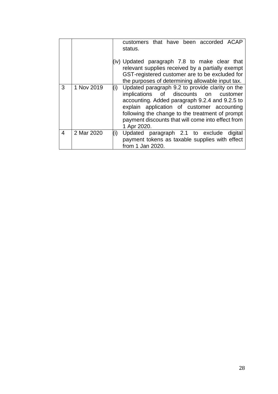|   |            | customers that have been accorded ACAP<br>status.                                                                                                                                                                                                                                                                      |
|---|------------|------------------------------------------------------------------------------------------------------------------------------------------------------------------------------------------------------------------------------------------------------------------------------------------------------------------------|
|   |            | (iv) Updated paragraph 7.8 to make clear that<br>relevant supplies received by a partially exempt<br>GST-registered customer are to be excluded for<br>the purposes of determining allowable input tax.                                                                                                                |
| 3 | 1 Nov 2019 | Updated paragraph 9.2 to provide clarity on the<br>(i)<br>implications of discounts on customer<br>accounting. Added paragraph 9.2.4 and 9.2.5 to<br>explain application of customer accounting<br>following the change to the treatment of prompt<br>payment discounts that will come into effect from<br>1 Apr 2020. |
| 4 | 2 Mar 2020 | Updated paragraph 2.1 to exclude<br>(i)<br>digital<br>payment tokens as taxable supplies with effect<br>from 1 Jan 2020.                                                                                                                                                                                               |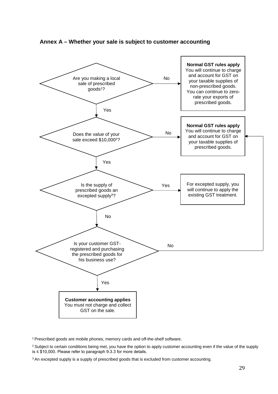

<span id="page-31-0"></span>**Annex A – Whether your sale is subject to customer accounting** 

<sup>1</sup>Prescribed goods are mobile phones, memory cards and off-the-shelf software.

<sup>2</sup> Subject to certain conditions being met, you have the option to apply customer accounting even if the value of the supply is ≤ \$10,000. Please refer to paragraph 9.3.3 for more details.

<sup>3</sup> An excepted supply is a supply of prescribed goods that is excluded from customer accounting.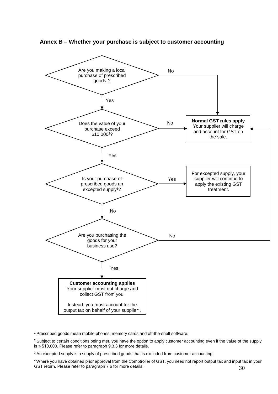

<span id="page-32-0"></span>**Annex B – Whether your purchase is subject to customer accounting** 

<sup>1</sup> Prescribed goods mean mobile phones, memory cards and off-the-shelf software.

<sup>2</sup> Subject to certain conditions being met, you have the option to apply customer accounting even if the value of the supply is ≤ \$10,000. Please refer to paragraph 9.3.3 for more details.

<sup>3</sup> An excepted supply is a supply of prescribed goods that is excluded from customer accounting.

30 <sup>4</sup>Where you have obtained prior approval from the Comptroller of GST, you need not report output tax and input tax in your GST return. Please refer to paragraph 7.6 for more details.